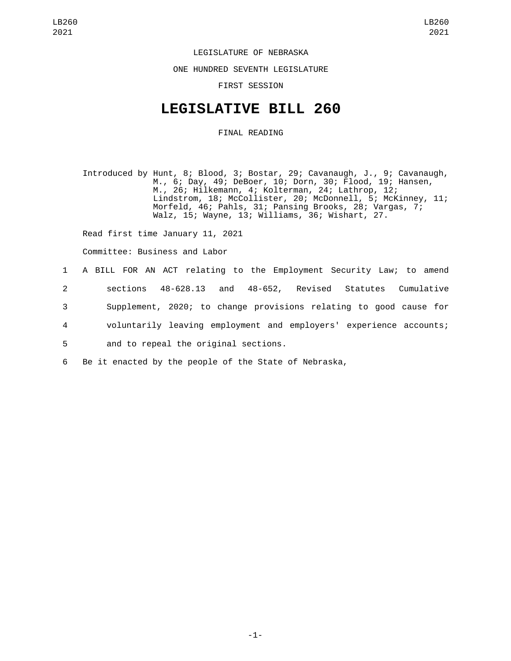## LEGISLATURE OF NEBRASKA

ONE HUNDRED SEVENTH LEGISLATURE

FIRST SESSION

## **LEGISLATIVE BILL 260**

## FINAL READING

Introduced by Hunt, 8; Blood, 3; Bostar, 29; Cavanaugh, J., 9; Cavanaugh, M., 6; Day, 49; DeBoer, 10; Dorn, 30; Flood, 19; Hansen, M., 26; Hilkemann, 4; Kolterman, 24; Lathrop, 12; Lindstrom, 18; McCollister, 20; McDonnell, 5; McKinney, 11; Morfeld, 46; Pahls, 31; Pansing Brooks, 28; Vargas, 7; Walz, 15; Wayne, 13; Williams, 36; Wishart, 27.

Read first time January 11, 2021

Committee: Business and Labor

|                | 1 A BILL FOR AN ACT relating to the Employment Security Law; to amend |
|----------------|-----------------------------------------------------------------------|
| 2              | 48-628.13 and 48-652, Revised Statutes Cumulative<br>sections         |
| 3              | Supplement, 2020; to change provisions relating to good cause for     |
| $\overline{4}$ | voluntarily leaving employment and employers' experience accounts;    |
| 5              | and to repeal the original sections.                                  |
| 6              | Be it enacted by the people of the State of Nebraska,                 |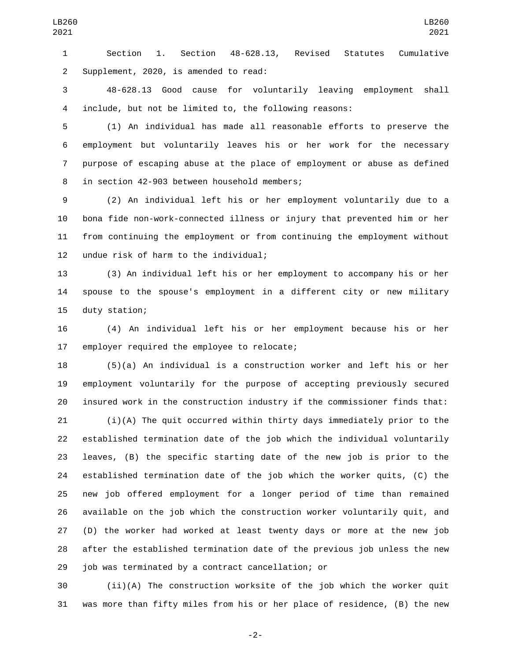Section 1. Section 48-628.13, Revised Statutes Cumulative 2 Supplement, 2020, is amended to read:

 48-628.13 Good cause for voluntarily leaving employment shall include, but not be limited to, the following reasons:

 (1) An individual has made all reasonable efforts to preserve the employment but voluntarily leaves his or her work for the necessary purpose of escaping abuse at the place of employment or abuse as defined 8 in section 42-903 between household members;

 (2) An individual left his or her employment voluntarily due to a bona fide non-work-connected illness or injury that prevented him or her from continuing the employment or from continuing the employment without 12 undue risk of harm to the individual;

 (3) An individual left his or her employment to accompany his or her spouse to the spouse's employment in a different city or new military 15 duty station;

 (4) An individual left his or her employment because his or her 17 employer required the employee to relocate;

 (5)(a) An individual is a construction worker and left his or her employment voluntarily for the purpose of accepting previously secured insured work in the construction industry if the commissioner finds that:

 (i)(A) The quit occurred within thirty days immediately prior to the established termination date of the job which the individual voluntarily leaves, (B) the specific starting date of the new job is prior to the established termination date of the job which the worker quits, (C) the new job offered employment for a longer period of time than remained available on the job which the construction worker voluntarily quit, and (D) the worker had worked at least twenty days or more at the new job after the established termination date of the previous job unless the new 29 job was terminated by a contract cancellation; or

 (ii)(A) The construction worksite of the job which the worker quit was more than fifty miles from his or her place of residence, (B) the new

-2-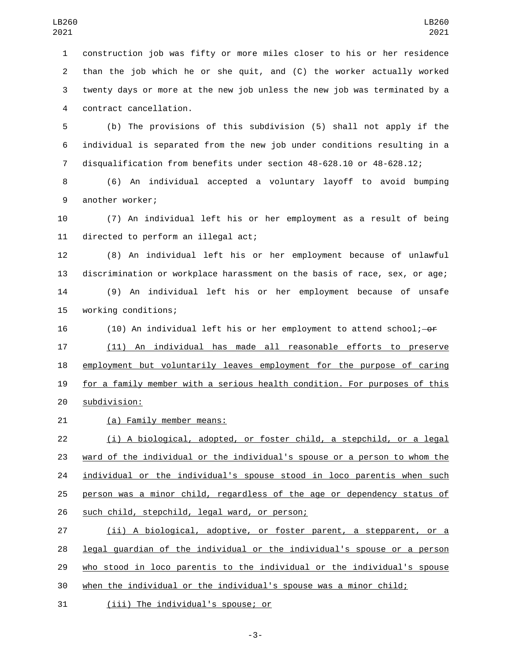construction job was fifty or more miles closer to his or her residence than the job which he or she quit, and (C) the worker actually worked twenty days or more at the new job unless the new job was terminated by a contract cancellation.4

 (b) The provisions of this subdivision (5) shall not apply if the individual is separated from the new job under conditions resulting in a disqualification from benefits under section 48-628.10 or 48-628.12;

 (6) An individual accepted a voluntary layoff to avoid bumping 9 another worker;

 (7) An individual left his or her employment as a result of being 11 directed to perform an illegal act;

 (8) An individual left his or her employment because of unlawful discrimination or workplace harassment on the basis of race, sex, or age; (9) An individual left his or her employment because of unsafe 15 working conditions;

16 (10) An individual left his or her employment to attend school;  $-$ or

 (11) An individual has made all reasonable efforts to preserve employment but voluntarily leaves employment for the purpose of caring for a family member with a serious health condition. For purposes of this subdivision:20

21 (a) Family member means:

 (i) A biological, adopted, or foster child, a stepchild, or a legal ward of the individual or the individual's spouse or a person to whom the individual or the individual's spouse stood in loco parentis when such person was a minor child, regardless of the age or dependency status of 26 such child, stepchild, legal ward, or person;

 (ii) A biological, adoptive, or foster parent, a stepparent, or a legal guardian of the individual or the individual's spouse or a person who stood in loco parentis to the individual or the individual's spouse when the individual or the individual's spouse was a minor child;

31 (iii) The individual's spouse; or

-3-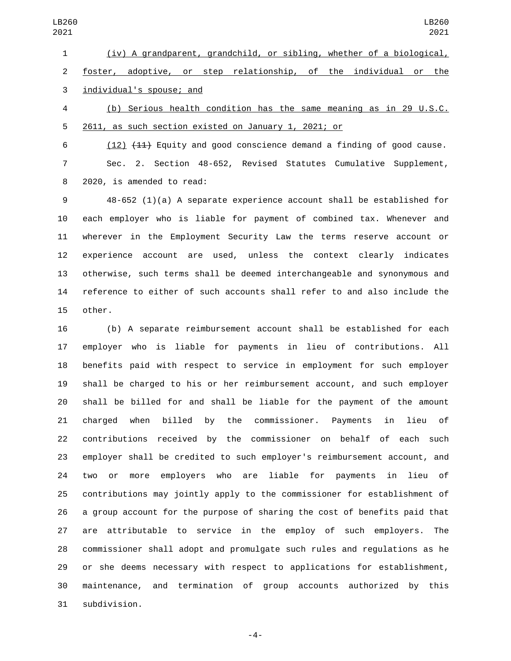(iv) A grandparent, grandchild, or sibling, whether of a biological, foster, adoptive, or step relationship, of the individual or the 3 individual's spouse; and

 (b) Serious health condition has the same meaning as in 29 U.S.C. 2611, as such section existed on January 1, 2021; or

 (12) (11) Equity and good conscience demand a finding of good cause. Sec. 2. Section 48-652, Revised Statutes Cumulative Supplement, 8 2020, is amended to read:

 48-652 (1)(a) A separate experience account shall be established for each employer who is liable for payment of combined tax. Whenever and wherever in the Employment Security Law the terms reserve account or experience account are used, unless the context clearly indicates otherwise, such terms shall be deemed interchangeable and synonymous and reference to either of such accounts shall refer to and also include the 15 other.

 (b) A separate reimbursement account shall be established for each employer who is liable for payments in lieu of contributions. All benefits paid with respect to service in employment for such employer shall be charged to his or her reimbursement account, and such employer shall be billed for and shall be liable for the payment of the amount charged when billed by the commissioner. Payments in lieu of contributions received by the commissioner on behalf of each such employer shall be credited to such employer's reimbursement account, and two or more employers who are liable for payments in lieu of contributions may jointly apply to the commissioner for establishment of a group account for the purpose of sharing the cost of benefits paid that are attributable to service in the employ of such employers. The commissioner shall adopt and promulgate such rules and regulations as he or she deems necessary with respect to applications for establishment, maintenance, and termination of group accounts authorized by this subdivision.31

-4-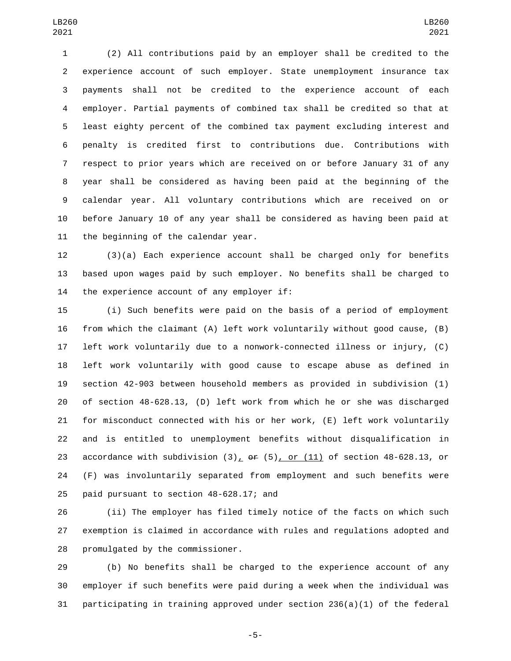(2) All contributions paid by an employer shall be credited to the experience account of such employer. State unemployment insurance tax payments shall not be credited to the experience account of each employer. Partial payments of combined tax shall be credited so that at least eighty percent of the combined tax payment excluding interest and penalty is credited first to contributions due. Contributions with respect to prior years which are received on or before January 31 of any year shall be considered as having been paid at the beginning of the calendar year. All voluntary contributions which are received on or before January 10 of any year shall be considered as having been paid at 11 the beginning of the calendar year.

 (3)(a) Each experience account shall be charged only for benefits based upon wages paid by such employer. No benefits shall be charged to 14 the experience account of any employer if:

 (i) Such benefits were paid on the basis of a period of employment from which the claimant (A) left work voluntarily without good cause, (B) left work voluntarily due to a nonwork-connected illness or injury, (C) left work voluntarily with good cause to escape abuse as defined in section 42-903 between household members as provided in subdivision (1) of section 48-628.13, (D) left work from which he or she was discharged for misconduct connected with his or her work, (E) left work voluntarily and is entitled to unemployment benefits without disqualification in 23 accordance with subdivision  $(3)_L$  or  $(5)_L$  or  $(11)_L$  of section 48-628.13, or (F) was involuntarily separated from employment and such benefits were 25 paid pursuant to section  $48-628.17$ ; and

 (ii) The employer has filed timely notice of the facts on which such exemption is claimed in accordance with rules and regulations adopted and 28 promulgated by the commissioner.

 (b) No benefits shall be charged to the experience account of any employer if such benefits were paid during a week when the individual was participating in training approved under section 236(a)(1) of the federal

-5-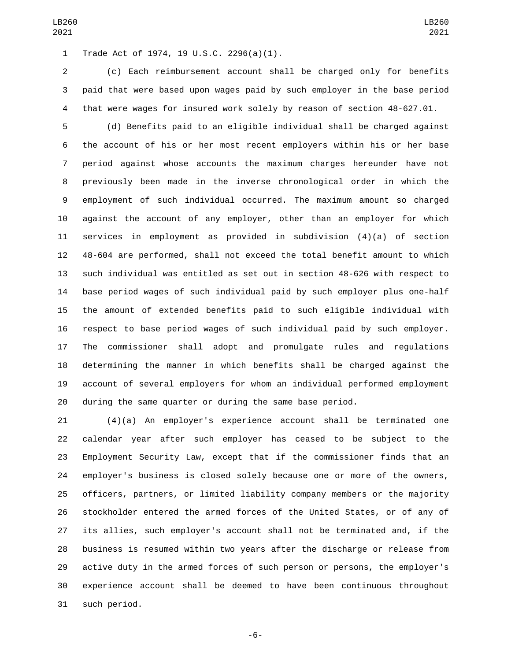Trade Act of 1974, 19 U.S.C. 2296(a)(1).1

 (c) Each reimbursement account shall be charged only for benefits paid that were based upon wages paid by such employer in the base period that were wages for insured work solely by reason of section 48-627.01.

 (d) Benefits paid to an eligible individual shall be charged against the account of his or her most recent employers within his or her base period against whose accounts the maximum charges hereunder have not previously been made in the inverse chronological order in which the employment of such individual occurred. The maximum amount so charged against the account of any employer, other than an employer for which services in employment as provided in subdivision (4)(a) of section 48-604 are performed, shall not exceed the total benefit amount to which such individual was entitled as set out in section 48-626 with respect to base period wages of such individual paid by such employer plus one-half the amount of extended benefits paid to such eligible individual with respect to base period wages of such individual paid by such employer. The commissioner shall adopt and promulgate rules and regulations determining the manner in which benefits shall be charged against the account of several employers for whom an individual performed employment during the same quarter or during the same base period.

 (4)(a) An employer's experience account shall be terminated one calendar year after such employer has ceased to be subject to the Employment Security Law, except that if the commissioner finds that an employer's business is closed solely because one or more of the owners, officers, partners, or limited liability company members or the majority stockholder entered the armed forces of the United States, or of any of its allies, such employer's account shall not be terminated and, if the business is resumed within two years after the discharge or release from active duty in the armed forces of such person or persons, the employer's experience account shall be deemed to have been continuous throughout 31 such period.

-6-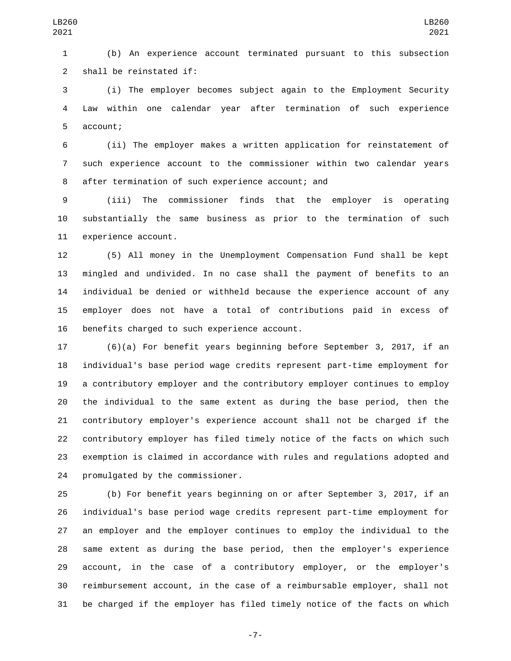(b) An experience account terminated pursuant to this subsection 2 shall be reinstated if:

 (i) The employer becomes subject again to the Employment Security Law within one calendar year after termination of such experience 5 account;

 (ii) The employer makes a written application for reinstatement of such experience account to the commissioner within two calendar years 8 after termination of such experience account; and

 (iii) The commissioner finds that the employer is operating substantially the same business as prior to the termination of such 11 experience account.

 (5) All money in the Unemployment Compensation Fund shall be kept mingled and undivided. In no case shall the payment of benefits to an individual be denied or withheld because the experience account of any employer does not have a total of contributions paid in excess of 16 benefits charged to such experience account.

 (6)(a) For benefit years beginning before September 3, 2017, if an individual's base period wage credits represent part-time employment for a contributory employer and the contributory employer continues to employ the individual to the same extent as during the base period, then the contributory employer's experience account shall not be charged if the contributory employer has filed timely notice of the facts on which such exemption is claimed in accordance with rules and regulations adopted and 24 promulgated by the commissioner.

 (b) For benefit years beginning on or after September 3, 2017, if an individual's base period wage credits represent part-time employment for an employer and the employer continues to employ the individual to the same extent as during the base period, then the employer's experience account, in the case of a contributory employer, or the employer's reimbursement account, in the case of a reimbursable employer, shall not be charged if the employer has filed timely notice of the facts on which

-7-